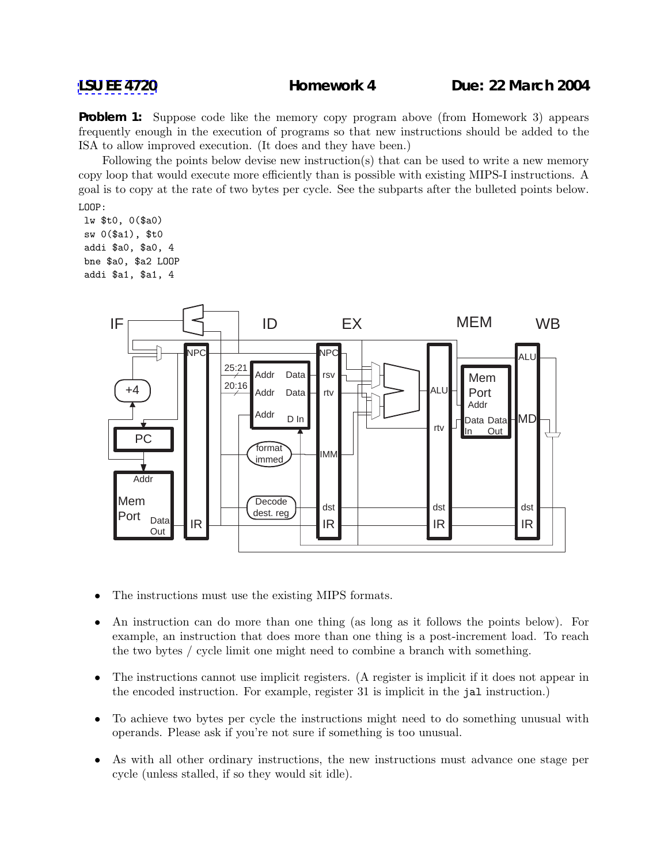**Problem 1:** Suppose code like the memory copy program above (from Homework 3) appears frequently enough in the execution of programs so that new instructions should be added to the ISA to allow improved execution. (It does and they have been.)

Following the points below devise new instruction(s) that can be used to write a new memory copy loop that would execute more efficiently than is possible with existing MIPS-I instructions. A goal is to copy at the rate of two bytes per cycle. See the subparts after the bulleted points below. LOOP:

lw \$t0, 0(\$a0) sw 0(\$a1), \$t0 addi \$a0, \$a0, 4 bne \$a0, \$a2 LOOP addi \$a1, \$a1, 4



- The instructions must use the existing MIPS formats.
- An instruction can do more than one thing (as long as it follows the points below). For example, an instruction that does more than one thing is a post-increment load. To reach the two bytes / cycle limit one might need to combine a branch with something.
- The instructions cannot use implicit registers. (A register is implicit if it does not appear in the encoded instruction. For example, register 31 is implicit in the jal instruction.)
- To achieve two bytes per cycle the instructions might need to do something unusual with operands. Please ask if you're not sure if something is too unusual.
- As with all other ordinary instructions, the new instructions must advance one stage per cycle (unless stalled, if so they would sit idle).